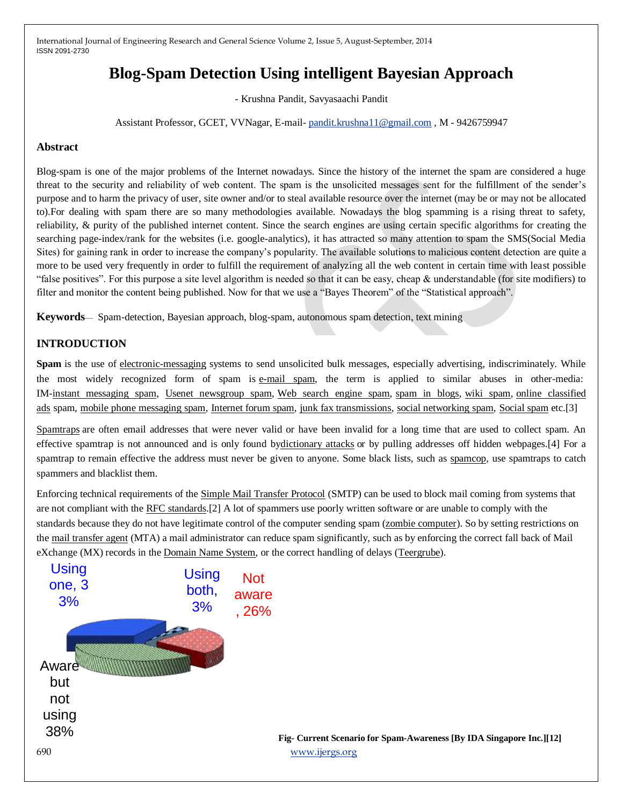# **Blog-Spam Detection Using intelligent Bayesian Approach**

- Krushna Pandit, Savyasaachi Pandit

Assistant Professor, GCET, VVNagar, E-mail- [pandit.krushna11@gmail.com](mailto:pandit.krushna11@gmail.com) , M - 9426759947

# **Abstract**

Blog-spam is one of the major problems of the Internet nowadays. Since the history of the internet the spam are considered a huge threat to the security and reliability of web content. The spam is the unsolicited messages sent for the fulfillment of the sender's purpose and to harm the privacy of user, site owner and/or to steal available resource over the internet (may be or may not be allocated to).For dealing with spam there are so many methodologies available. Nowadays the blog spamming is a rising threat to safety, reliability, & purity of the published internet content. Since the search engines are using certain specific algorithms for creating the searching page-index/rank for the websites (i.e. google-analytics), it has attracted so many attention to spam the SMS(Social Media Sites) for gaining rank in order to increase the company's popularity. The available solutions to malicious content detection are quite a more to be used very frequently in order to fulfill the requirement of analyzing all the web content in certain time with least possible "false positives". For this purpose a site level algorithm is needed so that it can be easy, cheap  $\&$  understandable (for site modifiers) to filter and monitor the content being published. Now for that we use a "Bayes Theorem" of the "Statistical approach".

**Keywords**— Spam-detection, Bayesian approach, blog-spam, autonomous spam detection, text mining

# **INTRODUCTION**

**Spam** is the use of [electronic-messaging](http://en.wikipedia.org/wiki/Email) systems to send unsolicited bulk messages, especially advertising, indiscriminately. While the most widely recognized form of spam is [e-mail spam,](http://en.wikipedia.org/wiki/E-mail_spam) the term is applied to similar abuses in other-media: IM[-instant messaging spam,](http://en.wikipedia.org/wiki/Messaging_spam) [Usenet newsgroup spam,](http://en.wikipedia.org/wiki/Newsgroup_spam) [Web search engine spam,](http://en.wikipedia.org/wiki/Spamdexing) [spam in blogs,](http://en.wikipedia.org/wiki/Spam_in_blogs) [wiki spam,](http://en.wikipedia.org/wiki/Wiki_spam) [online classified](http://en.wikipedia.org/wiki/Classified_advertising)  [ads](http://en.wikipedia.org/wiki/Classified_advertising) spam, [mobile phone messaging spam,](http://en.wikipedia.org/wiki/Mobile_phone_spam) [Internet forum spam,](http://en.wikipedia.org/wiki/Forum_spam) [junk fax transmissions,](http://en.wikipedia.org/wiki/Junk_fax) [social networking spam,](http://en.wikipedia.org/wiki/Social_networking_spam) [Social spam](http://en.wikipedia.org/wiki/Social_spam) etc.[3]

[Spamtraps](http://en.wikipedia.org/wiki/Spamtrap) are often email addresses that were never valid or have been invalid for a long time that are used to collect spam. An effective spamtrap is not announced and is only found b[ydictionary attacks](http://en.wikipedia.org/wiki/Dictionary_attack) or by pulling addresses off hidden webpages.[4] For a spamtrap to remain effective the address must never be given to anyone. Some black lists, such as [spamcop,](http://en.wikipedia.org/wiki/Spamcop) use spamtraps to catch spammers and blacklist them.

Enforcing technical requirements of the [Simple Mail Transfer Protocol](http://en.wikipedia.org/wiki/Simple_Mail_Transfer_Protocol) (SMTP) can be used to block mail coming from systems that are not compliant with the [RFC standards.](http://en.wikipedia.org/wiki/Simple_Mail_Transfer_Protocol#Related_Requests_For_Comments)[2] A lot of spammers use poorly written software or are unable to comply with the standards because they do not have legitimate control of the computer sending spam [\(zombie computer\)](http://en.wikipedia.org/wiki/Zombie_computer). So by setting restrictions on the [mail transfer agent](http://en.wikipedia.org/wiki/Mail_transfer_agent) (MTA) a mail administrator can reduce spam significantly, such as by enforcing the correct fall back of Mail eXchange (MX) records in the [Domain Name System,](http://en.wikipedia.org/wiki/Domain_Name_System) or the correct handling of delays [\(Teergrube\)](http://en.wikipedia.org/wiki/Teergrube).

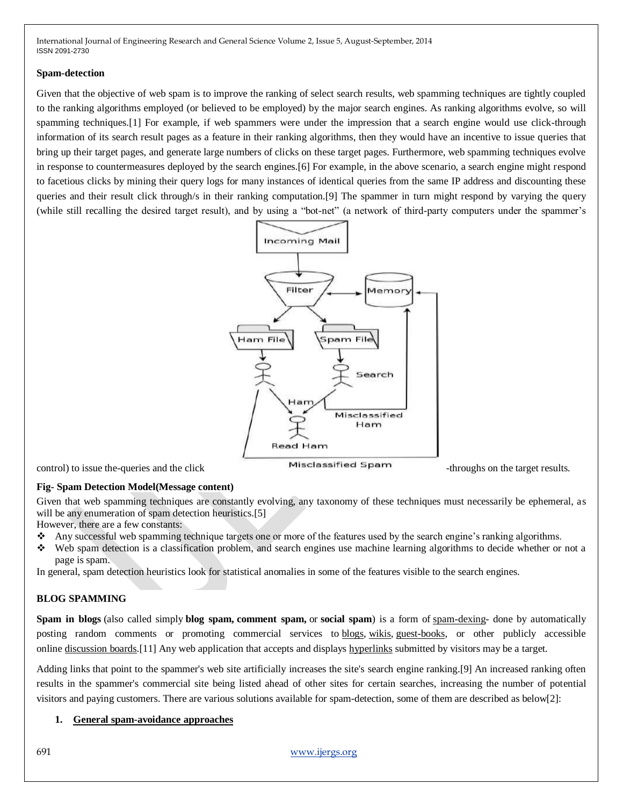#### **Spam-detection**

Given that the objective of web spam is to improve the ranking of select search results, web spamming techniques are tightly coupled to the ranking algorithms employed (or believed to be employed) by the major search engines. As ranking algorithms evolve, so will spamming techniques.[1] For example, if web spammers were under the impression that a search engine would use click-through information of its search result pages as a feature in their ranking algorithms, then they would have an incentive to issue queries that bring up their target pages, and generate large numbers of clicks on these target pages. Furthermore, web spamming techniques evolve in response to countermeasures deployed by the search engines.[6] For example, in the above scenario, a search engine might respond to facetious clicks by mining their query logs for many instances of identical queries from the same IP address and discounting these queries and their result click through/s in their ranking computation.[9] The spammer in turn might respond by varying the query (while still recalling the desired target result), and by using a "bot-net" (a network of third-party computers under the spammer's



# **Fig- Spam Detection Model(Message content)**

Given that web spamming techniques are constantly evolving, any taxonomy of these techniques must necessarily be ephemeral, as will be any enumeration of spam detection heuristics.[5]

However, there are a few constants:

- Any successful web spamming technique targets one or more of the features used by the search engine's ranking algorithms.
- Web spam detection is a classification problem, and search engines use machine learning algorithms to decide whether or not a page is spam.

In general, spam detection heuristics look for statistical anomalies in some of the features visible to the search engines.

#### **BLOG SPAMMING**

**Spam in blogs** (also called simply **blog spam, comment spam,** or **social spam**) is a form of [spam-dexing-](http://en.wikipedia.org/wiki/Spamdexing) done by automatically posting random comments or promoting commercial services to [blogs,](http://en.wikipedia.org/wiki/Weblog) [wikis,](http://en.wikipedia.org/wiki/Wiki) [guest-books,](http://en.wikipedia.org/wiki/Guestbook) or other publicly accessible online [discussion boards.](http://en.wikipedia.org/wiki/Discussion_board)[11] Any web application that accepts and displays [hyperlinks](http://en.wikipedia.org/wiki/Hyperlinks) submitted by visitors may be a target.

Adding links that point to the spammer's web site artificially increases the site's search engine ranking.[9] An increased ranking often results in the spammer's commercial site being listed ahead of other sites for certain searches, increasing the number of potential visitors and paying customers. There are various solutions available for spam-detection, some of them are described as below[2]:

#### **1. General spam-avoidance approaches**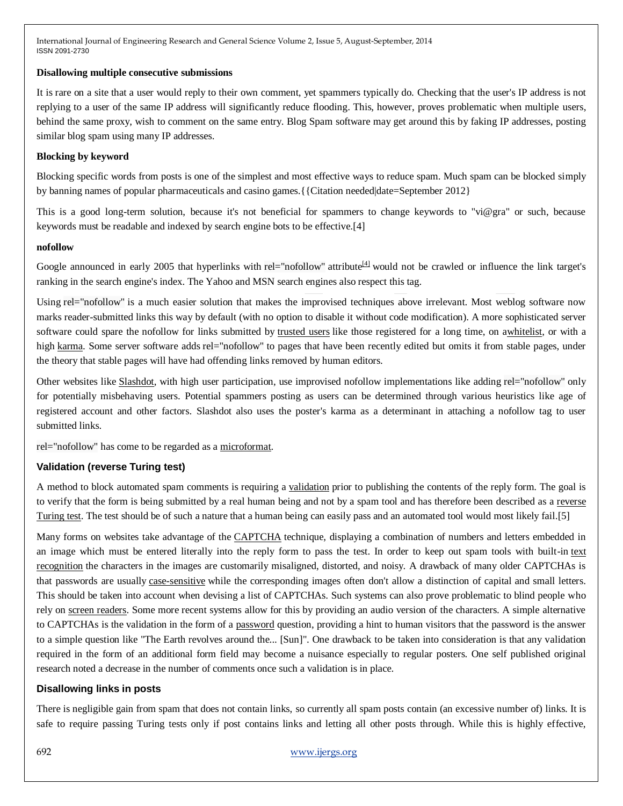#### **Disallowing multiple consecutive submissions**

It is rare on a site that a user would reply to their own comment, yet spammers typically do. Checking that the user's IP address is not replying to a user of the same IP address will significantly reduce flooding. This, however, proves problematic when multiple users, behind the same proxy, wish to comment on the same entry. Blog Spam software may get around this by faking IP addresses, posting similar blog spam using many IP addresses.

# **Blocking by keyword**

Blocking specific words from posts is one of the simplest and most effective ways to reduce spam. Much spam can be blocked simply by banning names of popular pharmaceuticals and casino games.{{Citation needed|date=September 2012}

This is a good long-term solution, because it's not beneficial for spammers to change keywords to "vi@gra" or such, because keywords must be readable and indexed by search engine bots to be effective.[4]

#### **nofollow**

Google announced in early 2005 that hyperlinks with rel="nofollow" attribute<sup>[\[4\]](http://en.wikipedia.org/wiki/Spam_in_blogs#cite_note-3)</sup> would not be crawled or influence the link target's ranking in the search engine's index. The Yahoo and MSN search engines also respect this tag.

Using rel="nofollow" is a much easier solution that makes the improvised techniques above irrelevant. Most weblog software now marks reader-submitted links this way by default (with no option to disable it without code modification). A more sophisticated server software could spare the nofollow for links submitted by [trusted users](http://en.wikipedia.org/wiki/Trust_management) like those registered for a long time, on [awhitelist,](http://en.wikipedia.org/wiki/Whitelist) or with a high [karma.](http://en.wikipedia.org/wiki/Karma_(Slashdot)) Some server software adds rel="nofollow" to pages that have been recently edited but omits it from stable pages, under the theory that stable pages will have had offending links removed by human editors.

Other websites like [Slashdot,](http://en.wikipedia.org/wiki/Slashdot) with high user participation, use improvised nofollow implementations like adding rel="nofollow" only for potentially misbehaving users. Potential spammers posting as users can be determined through various heuristics like age of registered account and other factors. Slashdot also uses the poster's karma as a determinant in attaching a nofollow tag to user submitted links.

rel="nofollow" has come to be regarded as a [microformat.](http://en.wikipedia.org/wiki/Microformat)

# **Validation (reverse Turing test)**

A method to block automated spam comments is requiring a [validation](http://en.wikipedia.org/wiki/Data_validation) prior to publishing the contents of the reply form. The goal is to verify that the form is being submitted by a real human being and not by a spam tool and has therefore been described as a reverse [Turing test.](http://en.wikipedia.org/wiki/Reverse_Turing_test) The test should be of such a nature that a human being can easily pass and an automated tool would most likely fail.[5]

Many forms on websites take advantage of the [CAPTCHA](http://en.wikipedia.org/wiki/CAPTCHA) technique, displaying a combination of numbers and letters embedded in an image which must be entered literally into the reply form to pass the test. In order to keep out spam tools with built-in text [recognition](http://en.wikipedia.org/wiki/Text_recognition) the characters in the images are customarily misaligned, distorted, and noisy. A drawback of many older CAPTCHAs is that passwords are usually [case-sensitive](http://en.wikipedia.org/wiki/Case-sensitive) while the corresponding images often don't allow a distinction of capital and small letters. This should be taken into account when devising a list of CAPTCHAs. Such systems can also prove problematic to blind people who rely on [screen readers.](http://en.wikipedia.org/wiki/Screen_readers) Some more recent systems allow for this by providing an audio version of the characters. A simple alternative to CAPTCHAs is the validation in the form of a [password](http://en.wikipedia.org/wiki/Password) question, providing a hint to human visitors that the password is the answer to a simple question like "The Earth revolves around the... [Sun]". One drawback to be taken into consideration is that any validation required in the form of an additional form field may become a nuisance especially to regular posters. One self published original research noted a decrease in the number of comments once such a validation is in place.

#### **Disallowing links in posts**

There is negligible gain from spam that does not contain links, so currently all spam posts contain (an excessive number of) links. It is safe to require passing Turing tests only if post contains links and letting all other posts through. While this is highly effective,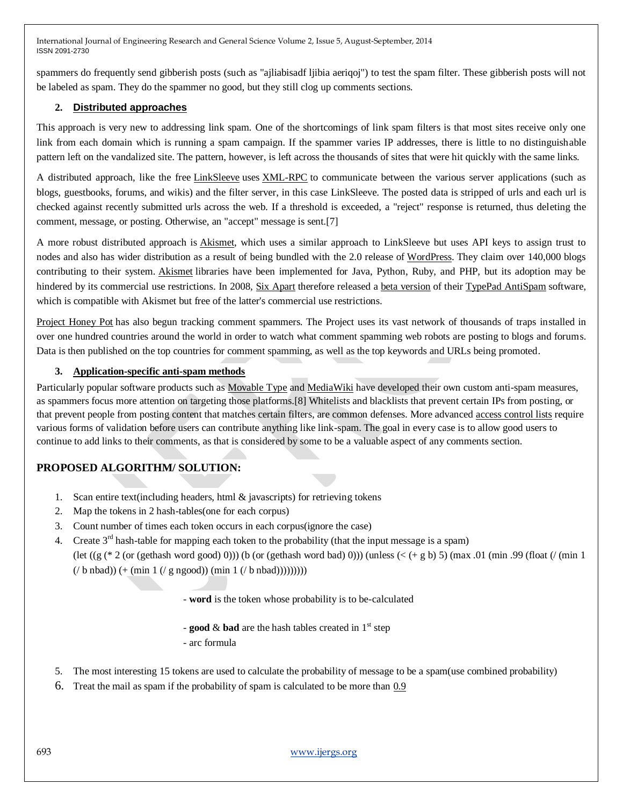spammers do frequently send gibberish posts (such as "ajliabisadf ljibia aeriqoj") to test the spam filter. These gibberish posts will not be labeled as spam. They do the spammer no good, but they still clog up comments sections.

# **2. Distributed approaches**

This approach is very new to addressing link spam. One of the shortcomings of link spam filters is that most sites receive only one link from each domain which is running a spam campaign. If the spammer varies IP addresses, there is little to no distinguishable pattern left on the vandalized site. The pattern, however, is left across the thousands of sites that were hit quickly with the same links.

A distributed approach, like the free [LinkSleeve](http://en.wikipedia.org/w/index.php?title=LinkSleeve&action=edit&redlink=1) uses [XML-RPC](http://en.wikipedia.org/wiki/XML-RPC) to communicate between the various server applications (such as blogs, guestbooks, forums, and wikis) and the filter server, in this case LinkSleeve. The posted data is stripped of urls and each url is checked against recently submitted urls across the web. If a threshold is exceeded, a "reject" response is returned, thus deleting the comment, message, or posting. Otherwise, an "accept" message is sent.[7]

A more robust distributed approach is [Akismet,](http://en.wikipedia.org/wiki/Akismet) which uses a similar approach to LinkSleeve but uses API keys to assign trust to nodes and also has wider distribution as a result of being bundled with the 2.0 release of [WordPress.](http://en.wikipedia.org/wiki/WordPress) They claim over 140,000 blogs contributing to their system. [Akismet](http://en.wikipedia.org/wiki/Akismet) libraries have been implemented for Java, Python, Ruby, and PHP, but its adoption may be hindered by its commercial use restrictions. In 2008, [Six Apart](http://en.wikipedia.org/wiki/Six_Apart) therefore released a [beta version](http://en.wikipedia.org/wiki/Beta_version) of their [TypePad AntiSpam](http://en.wikipedia.org/w/index.php?title=TypePad_AntiSpam&action=edit&redlink=1) software, which is compatible with Akismet but free of the latter's commercial use restrictions.

[Project Honey Pot](http://en.wikipedia.org/wiki/Project_Honey_Pot) has also begun tracking comment spammers. The Project uses its vast network of thousands of traps installed in over one hundred countries around the world in order to watch what comment spamming web robots are posting to blogs and forums. Data is then published on the top countries for comment spamming, as well as the top keywords and URLs being promoted.

#### **3. Application-specific anti-spam methods**

Particularly popular software products such as [Movable Type](http://en.wikipedia.org/wiki/Movable_Type) and [MediaWiki](http://en.wikipedia.org/wiki/MediaWiki) have developed their own custom anti-spam measures, as spammers focus more attention on targeting those platforms.[8] Whitelists and blacklists that prevent certain IPs from posting, or that prevent people from posting content that matches certain filters, are common defenses. More advanced [access control lists](http://en.wikipedia.org/wiki/Access_control_list) require various forms of validation before users can contribute anything like link-spam. The goal in every case is to allow good users to continue to add links to their comments, as that is considered by some to be a valuable aspect of any comments section.

# **PROPOSED ALGORITHM/ SOLUTION:**

- 1. Scan entire text(including headers, html & javascripts) for retrieving tokens
- 2. Map the tokens in 2 hash-tables(one for each corpus)
- 3. Count number of times each token occurs in each corpus(ignore the case)
- 4. Create  $3<sup>rd</sup>$  hash-table for mapping each token to the probability (that the input message is a spam) (let  $((g (* 2 (or (gethash word good) 0)))$  (b (or (gethash word bad) 0))) (unless  $(< + g b) 5$ ) (max .01 (min .99 (float (/ (min 1)  $($ / b nbad))  $($ + (min 1  $($ / g ngood)) (min 1  $($ / b nbad))))))))))

- **word** is the token whose probability is to be-calculated

- **good**  $\&$  **bad** are the hash tables created in  $1<sup>st</sup>$  step

- arc formula

- 5. The most interesting 15 tokens are used to calculate the probability of message to be a spam(use combined probability)
- 6. Treat the mail as spam if the probability of spam is calculated to be more than 0.9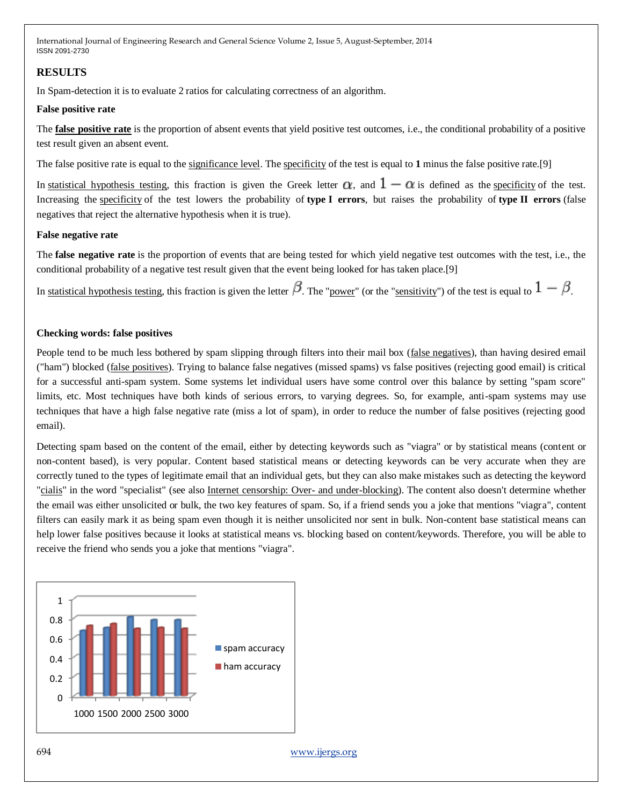# **RESULTS**

In Spam-detection it is to evaluate 2 ratios for calculating correctness of an algorithm.

#### **False positive rate**

The **[false positive rate](http://en.wikipedia.org/wiki/False_positive_rate)** is the proportion of absent events that yield positive test outcomes, i.e., the conditional probability of a positive test result given an absent event.

The false positive rate is equal to the [significance level.](http://en.wikipedia.org/wiki/Significance_level) The [specificity](http://en.wikipedia.org/wiki/Specificity_(tests)) of the test is equal to **1** minus the false positive rate.[9]

In [statistical hypothesis testing,](http://en.wikipedia.org/wiki/Statistical_hypothesis_testing) this fraction is given the Greek letter  $\alpha$ , and  $1 - \alpha$  is defined as the [specificity](http://en.wikipedia.org/wiki/Specificity_(tests)) of the test. Increasing the [specificity](http://en.wikipedia.org/wiki/Specificity_(tests)) of the test lowers the probability of **type I errors**, but raises the probability of **type II errors** (false negatives that reject the alternative hypothesis when it is true).

## **False negative rate**

The **false negative rate** is the proportion of events that are being tested for which yield negative test outcomes with the test, i.e., the conditional probability of a negative test result given that the event being looked for has taken place.[9]

In [statistical hypothesis testing,](http://en.wikipedia.org/wiki/Statistical_hypothesis_testing) this fraction is given the letter  $\beta$ . The ["power"](http://en.wikipedia.org/wiki/Statistical_power) (or the ["sensitivity"](http://en.wikipedia.org/wiki/Sensitivity_and_specificity)) of the test is equal to  $1 - \beta$ .

## **Checking words: false positives**

People tend to be much less bothered by spam slipping through filters into their mail box [\(false negatives\)](http://en.wikipedia.org/wiki/False_negative), than having desired email ("ham") blocked [\(false positives\)](http://en.wikipedia.org/wiki/False_positive). Trying to balance false negatives (missed spams) vs false positives (rejecting good email) is critical for a successful anti-spam system. Some systems let individual users have some control over this balance by setting "spam score" limits, etc. Most techniques have both kinds of serious errors, to varying degrees. So, for example, anti-spam systems may use techniques that have a high false negative rate (miss a lot of spam), in order to reduce the number of false positives (rejecting good email).

Detecting spam based on the content of the email, either by detecting keywords such as "viagra" or by statistical means (content or non-content based), is very popular. Content based statistical means or detecting keywords can be very accurate when they are correctly tuned to the types of legitimate email that an individual gets, but they can also make mistakes such as detecting the keyword ["cialis"](http://en.wikipedia.org/wiki/Cialis) in the word "specialist" (see also [Internet censorship: Over-](http://en.wikipedia.org/wiki/Internet_censorship#Over-_and_under-blocking) and under-blocking). The content also doesn't determine whether the email was either unsolicited or bulk, the two key features of spam. So, if a friend sends you a joke that mentions "viagra", content filters can easily mark it as being spam even though it is neither unsolicited nor sent in bulk. Non-content base statistical means can help lower false positives because it looks at statistical means vs. blocking based on content/keywords. Therefore, you will be able to receive the friend who sends you a joke that mentions "viagra".



694 [www.ijergs.org](http://www.ijergs.org/)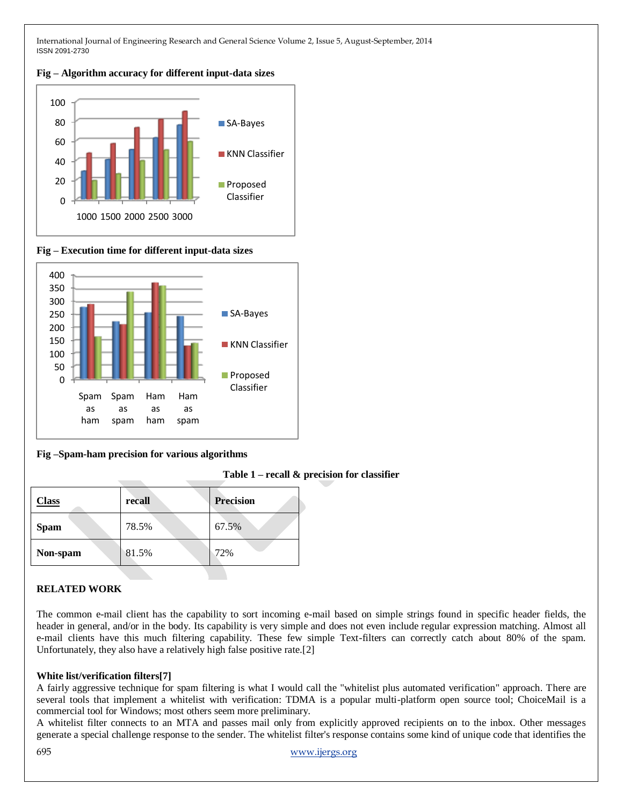**Fig – Algorithm accuracy for different input-data sizes**



**Fig – Execution time for different input-data sizes**



#### **Fig –Spam-ham precision for various algorithms**

**Table 1 – recall & precision for classifier**

| <b>Class</b> | recall | <b>Precision</b> |
|--------------|--------|------------------|
| <b>Spam</b>  | 78.5%  | 67.5%            |
| Non-spam     | 81.5%  | 72%              |

# **RELATED WORK**

The common e-mail client has the capability to sort incoming e-mail based on simple strings found in specific header fields, the header in general, and/or in the body. Its capability is very simple and does not even include regular expression matching. Almost all e-mail clients have this much filtering capability. These few simple Text-filters can correctly catch about 80% of the spam. Unfortunately, they also have a relatively high false positive rate.[2]

#### **White list/verification filters[7]**

A fairly aggressive technique for spam filtering is what I would call the "whitelist plus automated verification" approach. There are several tools that implement a whitelist with verification: TDMA is a popular multi-platform open source tool; ChoiceMail is a commercial tool for Windows; most others seem more preliminary.

A whitelist filter connects to an MTA and passes mail only from explicitly approved recipients on to the inbox. Other messages generate a special challenge response to the sender. The whitelist filter's response contains some kind of unique code that identifies the

695 [www.ijergs.org](http://www.ijergs.org/)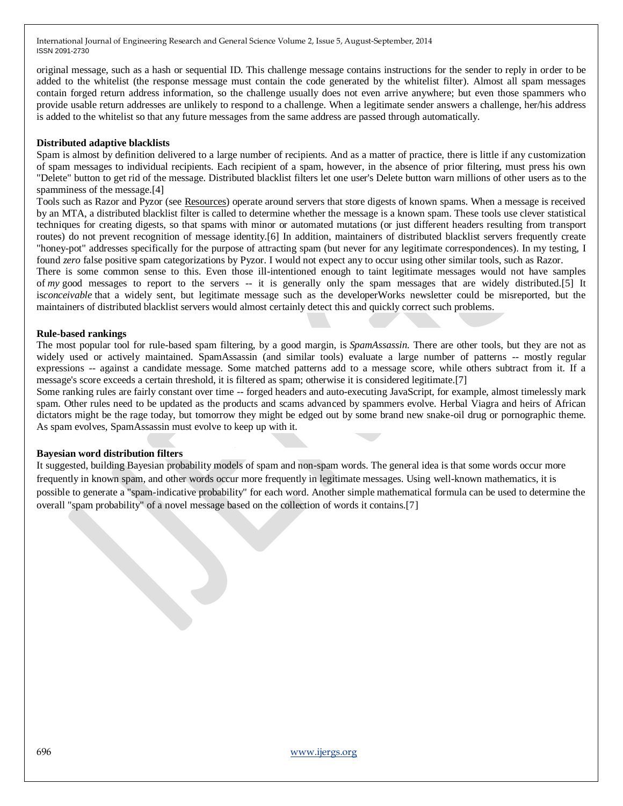original message, such as a hash or sequential ID. This challenge message contains instructions for the sender to reply in order to be added to the whitelist (the response message must contain the code generated by the whitelist filter). Almost all spam messages contain forged return address information, so the challenge usually does not even arrive anywhere; but even those spammers who provide usable return addresses are unlikely to respond to a challenge. When a legitimate sender answers a challenge, her/his address is added to the whitelist so that any future messages from the same address are passed through automatically.

#### **Distributed adaptive blacklists**

Spam is almost by definition delivered to a large number of recipients. And as a matter of practice, there is little if any customization of spam messages to individual recipients. Each recipient of a spam, however, in the absence of prior filtering, must press his own "Delete" button to get rid of the message. Distributed blacklist filters let one user's Delete button warn millions of other users as to the spamminess of the message.<sup>[4]</sup>

Tools such as Razor and Pyzor (see [Resources\)](http://www.ibm.com/developerworks/linux/library/l-spamf/index.html#resources) operate around servers that store digests of known spams. When a message is received by an MTA, a distributed blacklist filter is called to determine whether the message is a known spam. These tools use clever statistical techniques for creating digests, so that spams with minor or automated mutations (or just different headers resulting from transport routes) do not prevent recognition of message identity.[6] In addition, maintainers of distributed blacklist servers frequently create "honey-pot" addresses specifically for the purpose of attracting spam (but never for any legitimate correspondences). In my testing, I found *zero* false positive spam categorizations by Pyzor. I would not expect any to occur using other similar tools, such as Razor.

There is some common sense to this. Even those ill-intentioned enough to taint legitimate messages would not have samples of *my* good messages to report to the servers -- it is generally only the spam messages that are widely distributed.[5] It is*conceivable* that a widely sent, but legitimate message such as the developerWorks newsletter could be misreported, but the maintainers of distributed blacklist servers would almost certainly detect this and quickly correct such problems.

#### **Rule-based rankings**

The most popular tool for rule-based spam filtering, by a good margin, is *SpamAssassin*. There are other tools, but they are not as widely used or actively maintained. SpamAssassin (and similar tools) evaluate a large number of patterns -- mostly regular expressions -- against a candidate message. Some matched patterns add to a message score, while others subtract from it. If a message's score exceeds a certain threshold, it is filtered as spam; otherwise it is considered legitimate.[7]

Some ranking rules are fairly constant over time -- forged headers and auto-executing JavaScript, for example, almost timelessly mark spam. Other rules need to be updated as the products and scams advanced by spammers evolve. Herbal Viagra and heirs of African dictators might be the rage today, but tomorrow they might be edged out by some brand new snake-oil drug or pornographic theme. As spam evolves, SpamAssassin must evolve to keep up with it.

#### **Bayesian word distribution filters**

It suggested, building Bayesian probability models of spam and non-spam words. The general idea is that some words occur more frequently in known spam, and other words occur more frequently in legitimate messages. Using well-known mathematics, it is possible to generate a "spam-indicative probability" for each word. Another simple mathematical formula can be used to determine the overall "spam probability" of a novel message based on the collection of words it contains.[7]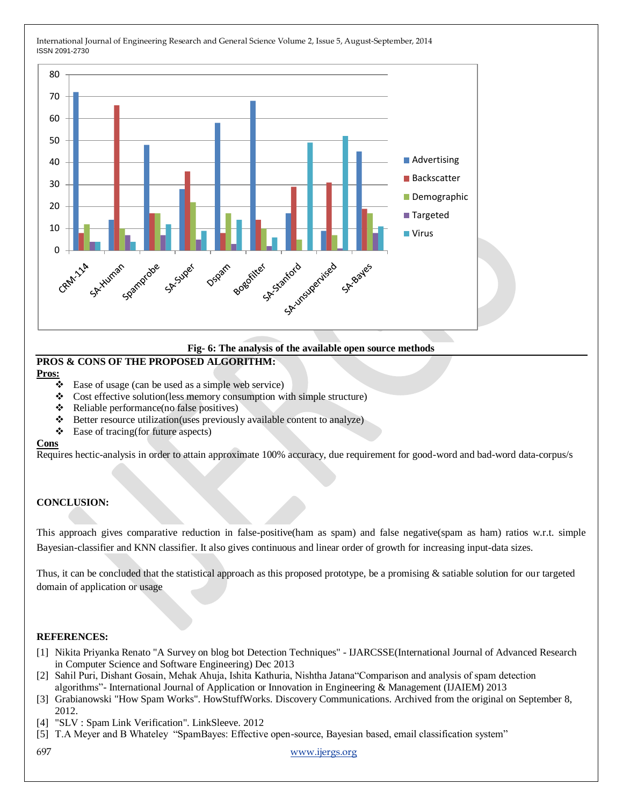

#### **Fig- 6: The analysis of the available open source methods**

# **PROS & CONS OF THE PROPOSED ALGORITHM: Pros:**

- Ease of usage (can be used as a simple web service)
- \* Cost effective solution(less memory consumption with simple structure)
- $\triangle$  Reliable performance(no false positives)
- Better resource utilization(uses previously available content to analyze)
- Ease of tracing(for future aspects)

#### **Cons**

Requires hectic-analysis in order to attain approximate 100% accuracy, due requirement for good-word and bad-word data-corpus/s

# **CONCLUSION:**

This approach gives comparative reduction in false-positive(ham as spam) and false negative(spam as ham) ratios w.r.t. simple Bayesian-classifier and KNN classifier. It also gives continuous and linear order of growth for increasing input-data sizes.

Thus, it can be concluded that the statistical approach as this proposed prototype, be a promising & satiable solution for our targeted domain of application or usage

#### **REFERENCES:**

- [1] Nikita Priyanka Renato "A Survey on blog bot Detection Techniques" IJARCSSE(International Journal of Advanced Research in Computer Science and Software Engineering) Dec 2013
- [2] Sahil Puri, Dishant Gosain, Mehak Ahuja, Ishita Kathuria, Nishtha Jatana Comparison and analysis of spam detection algorithms"- International Journal of Application or Innovation in Engineering & Management (IJAIEM) 2013
- [3] Grabianowski "How Spam Works". HowStuffWorks. Discovery Communications. Archived from the original on September 8, 2012.
- [4] "SLV : Spam Link Verification". LinkSleeve. 2012
- [5] T.A Meyer and B Whateley "SpamBayes: Effective open-source, Bayesian based, email classification system"

697 [www.ijergs.org](http://www.ijergs.org/)